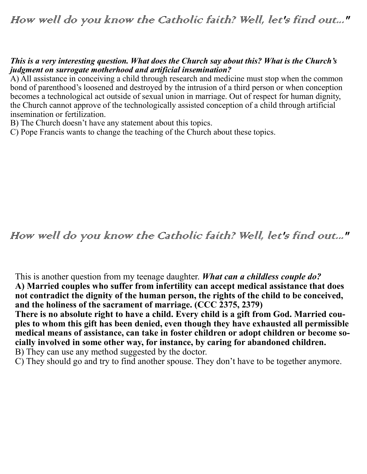How well do you know the Catholic faith? Well, let's find out..."

## *This is a very interesting question. What does the Church say about this? What is the Church's judgment on surrogate motherhood and artificial insemination?*

A) All assistance in conceiving a child through research and medicine must stop when the common bond of parenthood's loosened and destroyed by the intrusion of a third person or when conception becomes a technological act outside of sexual union in marriage. Out of respect for human dignity, the Church cannot approve of the technologically assisted conception of a child through artificial insemination or fertilization.

B) The Church doesn't have any statement about this topics.

C) Pope Francis wants to change the teaching of the Church about these topics.

How well do you know the Catholic faith? Well, let's find out..."

This is another question from my teenage daughter. *What can a childless couple do?* **A) Married couples who suffer from infertility can accept medical assistance that does not contradict the dignity of the human person, the rights of the child to be conceived, and the holiness of the sacrament of marriage. (CCC 2375, 2379)**

**There is no absolute right to have a child. Every child is a gift from God. Married couples to whom this gift has been denied, even though they have exhausted all permissible medical means of assistance, can take in foster children or adopt children or become socially involved in some other way, for instance, by caring for abandoned children.**  B) They can use any method suggested by the doctor.

C) They should go and try to find another spouse. They don't have to be together anymore.